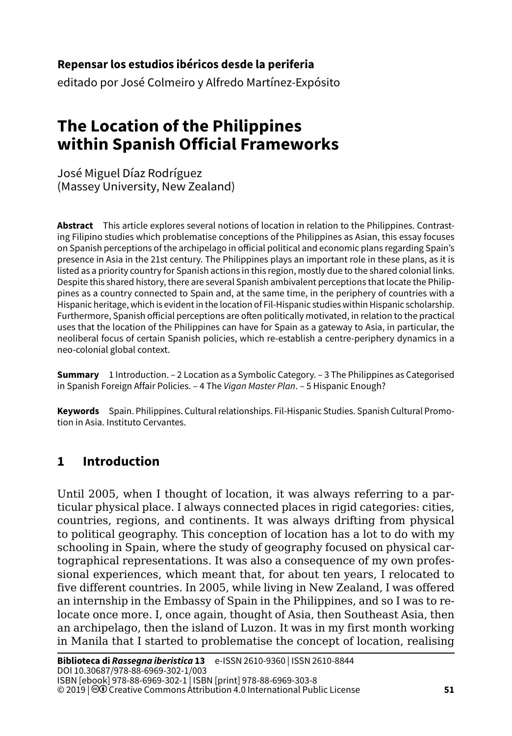#### **51Repensar los estudios ibéricos desde la periferia**

editado por José Colmeiro y Alfredo Martínez-Expósito

# **The Location of the Philippines within Spanish Official Frameworks**

José Miguel Díaz Rodríguez (Massey University, New Zealand)

**Abstract** This article explores several notions of location in relation to the Philippines. Contrasting Filipino studies which problematise conceptions of the Philippines as Asian, this essay focuses on Spanish perceptions of the archipelago in official political and economic plans regarding Spain's presence in Asia in the 21st century. The Philippines plays an important role in these plans, as it is listed as a priority country for Spanish actions in this region, mostly due to the shared colonial links. Despite this shared history, there are several Spanish ambivalent perceptions that locate the Philippines as a country connected to Spain and, at the same time, in the periphery of countries with a Hispanic heritage, which is evident in the location of Fil-Hispanic studies within Hispanic scholarship. Furthermore, Spanish official perceptions are often politically motivated, in relation to the practical uses that the location of the Philippines can have for Spain as a gateway to Asia, in particular, the neoliberal focus of certain Spanish policies, which re-establish a centre-periphery dynamics in a neo-colonial global context.

**Summary** 1 Introduction. – [2 Location as a Symbolic Category](#page-1-0). – 3 The Philippines as Categorised [in Spanish Foreign Affair Policies](#page-4-0). – 4 The *[Vigan Master Plan](#page-7-0)*. – [5 Hispanic Enough?](#page-9-0)

**Keywords** Spain. Philippines. Cultural relationships. Fil-Hispanic Studies. Spanish Cultural Promotion in Asia. Instituto Cervantes.

# **1 Introduction**

Until 2005, when I thought of location, it was always referring to a particular physical place. I always connected places in rigid categories: cities, countries, regions, and continents. It was always drifting from physical to political geography. This conception of location has a lot to do with my schooling in Spain, where the study of geography focused on physical cartographical representations. It was also a consequence of my own professional experiences, which meant that, for about ten years, I relocated to five different countries. In 2005, while living in New Zealand, I was offered an internship in the Embassy of Spain in the Philippines, and so I was to relocate once more. I, once again, thought of Asia, then Southeast Asia, then an archipelago, then the island of Luzon. It was in my first month working in Manila that I started to problematise the concept of location, realising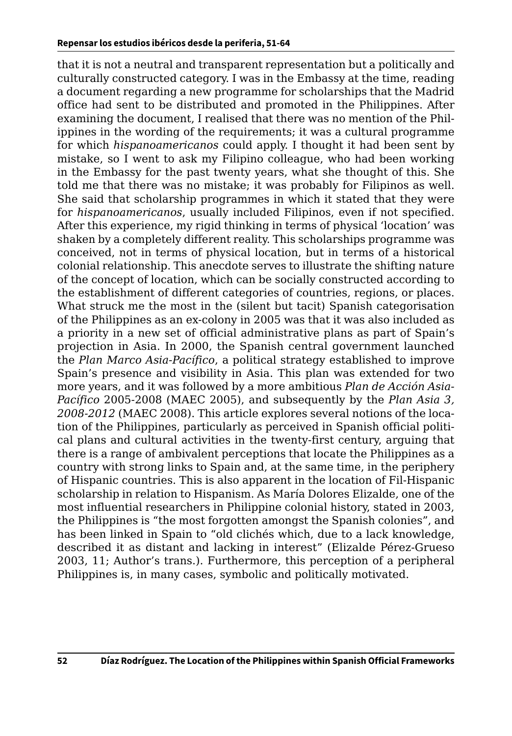<span id="page-1-0"></span>that it is not a neutral and transparent representation but a politically and culturally constructed category. I was in the Embassy at the time, reading a document regarding a new programme for scholarships that the Madrid office had sent to be distributed and promoted in the Philippines. After examining the document, I realised that there was no mention of the Philippines in the wording of the requirements; it was a cultural programme for which *hispanoamericanos* could apply. I thought it had been sent by mistake, so I went to ask my Filipino colleague, who had been working in the Embassy for the past twenty years, what she thought of this. She told me that there was no mistake; it was probably for Filipinos as well. She said that scholarship programmes in which it stated that they were for *hispanoamericanos*, usually included Filipinos, even if not specified. After this experience, my rigid thinking in terms of physical 'location' was shaken by a completely different reality. This scholarships programme was conceived, not in terms of physical location, but in terms of a historical colonial relationship. This anecdote serves to illustrate the shifting nature of the concept of location, which can be socially constructed according to the establishment of different categories of countries, regions, or places. What struck me the most in the (silent but tacit) Spanish categorisation of the Philippines as an ex-colony in 2005 was that it was also included as a priority in a new set of official administrative plans as part of Spain's projection in Asia. In 2000, the Spanish central government launched the *Plan Marco Asia-Pacífico*, a political strategy established to improve Spain's presence and visibility in Asia. This plan was extended for two more years, and it was followed by a more ambitious *Plan de Acción Asia-Pacífico* 2005-2008 (MAEC 2005), and subsequently by the *Plan Asia 3, 2008-2012* (MAEC 2008). This article explores several notions of the location of the Philippines, particularly as perceived in Spanish official political plans and cultural activities in the twenty-first century, arguing that there is a range of ambivalent perceptions that locate the Philippines as a country with strong links to Spain and, at the same time, in the periphery of Hispanic countries. This is also apparent in the location of Fil-Hispanic scholarship in relation to Hispanism. As María Dolores Elizalde, one of the most influential researchers in Philippine colonial history, stated in 2003, the Philippines is "the most forgotten amongst the Spanish colonies", and has been linked in Spain to "old clichés which, due to a lack knowledge, described it as distant and lacking in interest" (Elizalde Pérez-Grueso 2003, 11; Author's trans.). Furthermore, this perception of a peripheral Philippines is, in many cases, symbolic and politically motivated.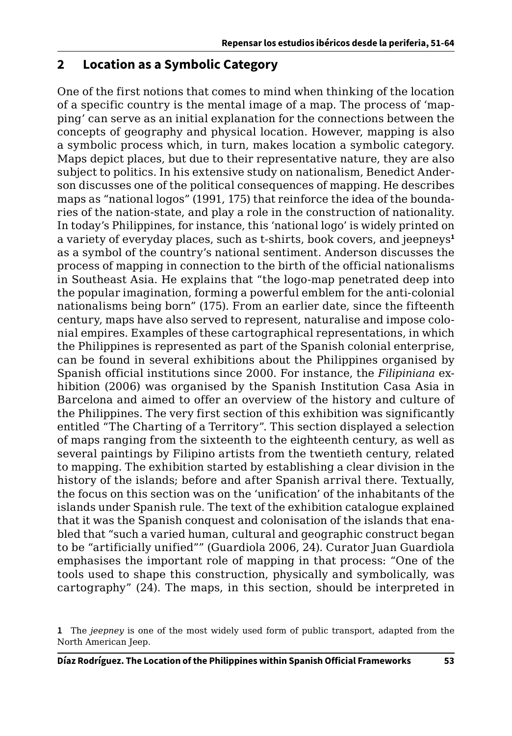### **2 Location as a Symbolic Category**

One of the first notions that comes to mind when thinking of the location of a specific country is the mental image of a map. The process of 'mapping' can serve as an initial explanation for the connections between the concepts of geography and physical location. However, mapping is also a symbolic process which, in turn, makes location a symbolic category. Maps depict places, but due to their representative nature, they are also subject to politics. In his extensive study on nationalism, Benedict Anderson discusses one of the political consequences of mapping. He describes maps as "national logos" (1991, 175) that reinforce the idea of the boundaries of the nation-state, and play a role in the construction of nationality. In today's Philippines, for instance, this 'national logo' is widely printed on a variety of everyday places, such as t-shirts, book covers, and jeepneys**<sup>1</sup>** as a symbol of the country's national sentiment. Anderson discusses the process of mapping in connection to the birth of the official nationalisms in Southeast Asia. He explains that "the logo-map penetrated deep into the popular imagination, forming a powerful emblem for the anti-colonial nationalisms being born" (175). From an earlier date, since the fifteenth century, maps have also served to represent, naturalise and impose colonial empires. Examples of these cartographical representations, in which the Philippines is represented as part of the Spanish colonial enterprise, can be found in several exhibitions about the Philippines organised by Spanish official institutions since 2000. For instance, the *Filipiniana* exhibition (2006) was organised by the Spanish Institution Casa Asia in Barcelona and aimed to offer an overview of the history and culture of the Philippines. The very first section of this exhibition was significantly entitled "The Charting of a Territory". This section displayed a selection of maps ranging from the sixteenth to the eighteenth century, as well as several paintings by Filipino artists from the twentieth century, related to mapping. The exhibition started by establishing a clear division in the history of the islands; before and after Spanish arrival there. Textually, the focus on this section was on the 'unification' of the inhabitants of the islands under Spanish rule. The text of the exhibition catalogue explained that it was the Spanish conquest and colonisation of the islands that enabled that "such a varied human, cultural and geographic construct began to be "artificially unified"" (Guardiola 2006, 24). Curator Juan Guardiola emphasises the important role of mapping in that process: "One of the tools used to shape this construction, physically and symbolically, was cartography" (24). The maps, in this section, should be interpreted in

**<sup>1</sup>** The *jeepney* is one of the most widely used form of public transport, adapted from the North American Jeep.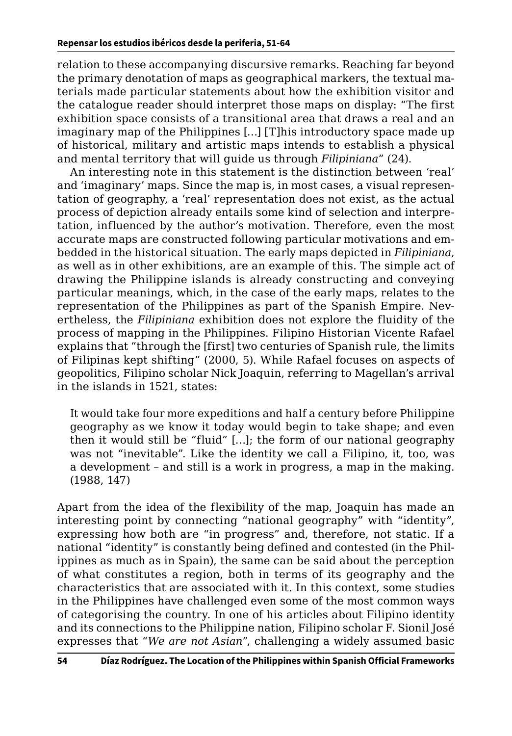relation to these accompanying discursive remarks. Reaching far beyond the primary denotation of maps as geographical markers, the textual materials made particular statements about how the exhibition visitor and the catalogue reader should interpret those maps on display: "The first exhibition space consists of a transitional area that draws a real and an imaginary map of the Philippines […] [T]his introductory space made up of historical, military and artistic maps intends to establish a physical and mental territory that will guide us through *Filipiniana*" (24).

An interesting note in this statement is the distinction between 'real' and 'imaginary' maps. Since the map is, in most cases, a visual representation of geography, a 'real' representation does not exist, as the actual process of depiction already entails some kind of selection and interpretation, influenced by the author's motivation. Therefore, even the most accurate maps are constructed following particular motivations and embedded in the historical situation. The early maps depicted in *Filipiniana*, as well as in other exhibitions, are an example of this. The simple act of drawing the Philippine islands is already constructing and conveying particular meanings, which, in the case of the early maps, relates to the representation of the Philippines as part of the Spanish Empire. Nevertheless, the *Filipiniana* exhibition does not explore the fluidity of the process of mapping in the Philippines. Filipino Historian Vicente Rafael explains that "through the [first] two centuries of Spanish rule, the limits of Filipinas kept shifting" (2000, 5). While Rafael focuses on aspects of geopolitics, Filipino scholar Nick Joaquin, referring to Magellan's arrival in the islands in 1521, states:

It would take four more expeditions and half a century before Philippine geography as we know it today would begin to take shape; and even then it would still be "fluid" […]; the form of our national geography was not "inevitable". Like the identity we call a Filipino, it, too, was a development – and still is a work in progress, a map in the making. (1988, 147)

Apart from the idea of the flexibility of the map, Joaquin has made an interesting point by connecting "national geography" with "identity", expressing how both are "in progress" and, therefore, not static. If a national "identity" is constantly being defined and contested (in the Philippines as much as in Spain), the same can be said about the perception of what constitutes a region, both in terms of its geography and the characteristics that are associated with it. In this context, some studies in the Philippines have challenged even some of the most common ways of categorising the country. In one of his articles about Filipino identity and its connections to the Philippine nation, Filipino scholar F. Sionil José expresses that "*We are not Asian*", challenging a widely assumed basic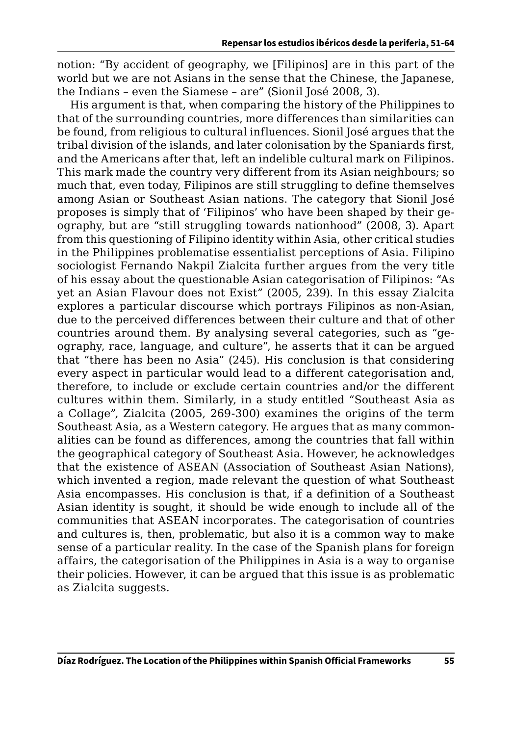<span id="page-4-0"></span>notion: "By accident of geography, we [Filipinos] are in this part of the world but we are not Asians in the sense that the Chinese, the Japanese, the Indians – even the Siamese – are" (Sionil José 2008, 3).

His argument is that, when comparing the history of the Philippines to that of the surrounding countries, more differences than similarities can be found, from religious to cultural influences. Sionil José argues that the tribal division of the islands, and later colonisation by the Spaniards first, and the Americans after that, left an indelible cultural mark on Filipinos. This mark made the country very different from its Asian neighbours; so much that, even today, Filipinos are still struggling to define themselves among Asian or Southeast Asian nations. The category that Sionil José proposes is simply that of 'Filipinos' who have been shaped by their geography, but are "still struggling towards nationhood" (2008, 3). Apart from this questioning of Filipino identity within Asia, other critical studies in the Philippines problematise essentialist perceptions of Asia. Filipino sociologist Fernando Nakpil Zialcita further argues from the very title of his essay about the questionable Asian categorisation of Filipinos: "As yet an Asian Flavour does not Exist" (2005, 239). In this essay Zialcita explores a particular discourse which portrays Filipinos as non-Asian, due to the perceived differences between their culture and that of other countries around them. By analysing several categories, such as "geography, race, language, and culture", he asserts that it can be argued that "there has been no Asia" (245). His conclusion is that considering every aspect in particular would lead to a different categorisation and, therefore, to include or exclude certain countries and/or the different cultures within them. Similarly, in a study entitled "Southeast Asia as a Collage", Zialcita (2005, 269-300) examines the origins of the term Southeast Asia, as a Western category. He argues that as many commonalities can be found as differences, among the countries that fall within the geographical category of Southeast Asia. However, he acknowledges that the existence of ASEAN (Association of Southeast Asian Nations), which invented a region, made relevant the question of what Southeast Asia encompasses. His conclusion is that, if a definition of a Southeast Asian identity is sought, it should be wide enough to include all of the communities that ASEAN incorporates. The categorisation of countries and cultures is, then, problematic, but also it is a common way to make sense of a particular reality. In the case of the Spanish plans for foreign affairs, the categorisation of the Philippines in Asia is a way to organise their policies. However, it can be argued that this issue is as problematic as Zialcita suggests.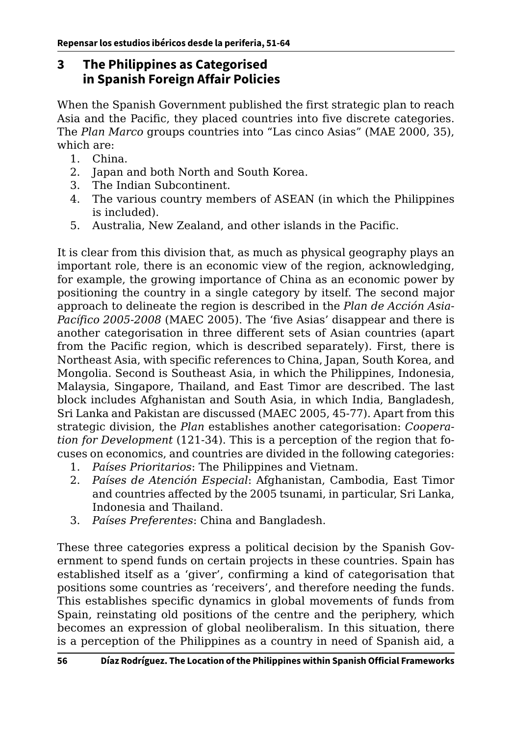## **3 The Philippines as Categorised in Spanish Foreign Affair Policies**

When the Spanish Government published the first strategic plan to reach Asia and the Pacific, they placed countries into five discrete categories. The *Plan Marco* groups countries into "Las cinco Asias" (MAE 2000, 35), which are:

- 1. China.
- 2. Japan and both North and South Korea.
- 3. The Indian Subcontinent.
- 4. The various country members of ASEAN (in which the Philippines is included).
- 5. Australia, New Zealand, and other islands in the Pacific.

It is clear from this division that, as much as physical geography plays an important role, there is an economic view of the region, acknowledging, for example, the growing importance of China as an economic power by positioning the country in a single category by itself. The second major approach to delineate the region is described in the *Plan de Acción Asia-Pacífico 2005-2008* (MAEC 2005). The 'five Asias' disappear and there is another categorisation in three different sets of Asian countries (apart from the Pacific region, which is described separately). First, there is Northeast Asia, with specific references to China, Japan, South Korea, and Mongolia. Second is Southeast Asia, in which the Philippines, Indonesia, Malaysia, Singapore, Thailand, and East Timor are described. The last block includes Afghanistan and South Asia, in which India, Bangladesh, Sri Lanka and Pakistan are discussed (MAEC 2005, 45-77). Apart from this strategic division, the *Plan* establishes another categorisation: *Cooperation for Development* (121-34). This is a perception of the region that focuses on economics, and countries are divided in the following categories:

- 1. *Países Prioritarios*: The Philippines and Vietnam.
- 2. *Países de Atención Especial*: Afghanistan, Cambodia, East Timor and countries affected by the 2005 tsunami, in particular, Sri Lanka, Indonesia and Thailand.
- 3. *Países Preferentes*: China and Bangladesh.

These three categories express a political decision by the Spanish Government to spend funds on certain projects in these countries. Spain has established itself as a 'giver', confirming a kind of categorisation that positions some countries as 'receivers', and therefore needing the funds. This establishes specific dynamics in global movements of funds from Spain, reinstating old positions of the centre and the periphery, which becomes an expression of global neoliberalism. In this situation, there is a perception of the Philippines as a country in need of Spanish aid, a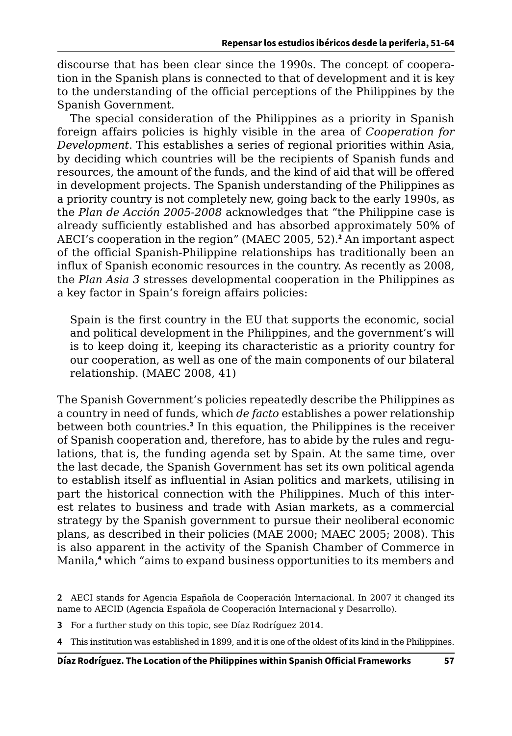discourse that has been clear since the 1990s. The concept of cooperation in the Spanish plans is connected to that of development and it is key to the understanding of the official perceptions of the Philippines by the Spanish Government.

The special consideration of the Philippines as a priority in Spanish foreign affairs policies is highly visible in the area of *Cooperation for Development*. This establishes a series of regional priorities within Asia, by deciding which countries will be the recipients of Spanish funds and resources, the amount of the funds, and the kind of aid that will be offered in development projects. The Spanish understanding of the Philippines as a priority country is not completely new, going back to the early 1990s, as the *Plan de Acción 2005-2008* acknowledges that "the Philippine case is already sufficiently established and has absorbed approximately 50% of AECI's cooperation in the region" (MAEC 2005, 52).**<sup>2</sup>** An important aspect of the official Spanish-Philippine relationships has traditionally been an influx of Spanish economic resources in the country. As recently as 2008, the *Plan Asia 3* stresses developmental cooperation in the Philippines as a key factor in Spain's foreign affairs policies:

Spain is the first country in the EU that supports the economic, social and political development in the Philippines, and the government's will is to keep doing it, keeping its characteristic as a priority country for our cooperation, as well as one of the main components of our bilateral relationship. (MAEC 2008, 41)

The Spanish Government's policies repeatedly describe the Philippines as a country in need of funds, which *de facto* establishes a power relationship between both countries.**<sup>3</sup>** In this equation, the Philippines is the receiver of Spanish cooperation and, therefore, has to abide by the rules and regulations, that is, the funding agenda set by Spain. At the same time, over the last decade, the Spanish Government has set its own political agenda to establish itself as influential in Asian politics and markets, utilising in part the historical connection with the Philippines. Much of this interest relates to business and trade with Asian markets, as a commercial strategy by the Spanish government to pursue their neoliberal economic plans, as described in their policies (MAE 2000; MAEC 2005; 2008). This is also apparent in the activity of the Spanish Chamber of Commerce in Manila,**<sup>4</sup>** which "aims to expand business opportunities to its members and

- **3** For a further study on this topic, see Díaz Rodríguez 2014.
- **4** This institution was established in 1899, and it is one of the oldest of its kind in the Philippines.

**<sup>2</sup>** AECI stands for Agencia Española de Cooperación Internacional. In 2007 it changed its name to AECID (Agencia Española de Cooperación Internacional y Desarrollo).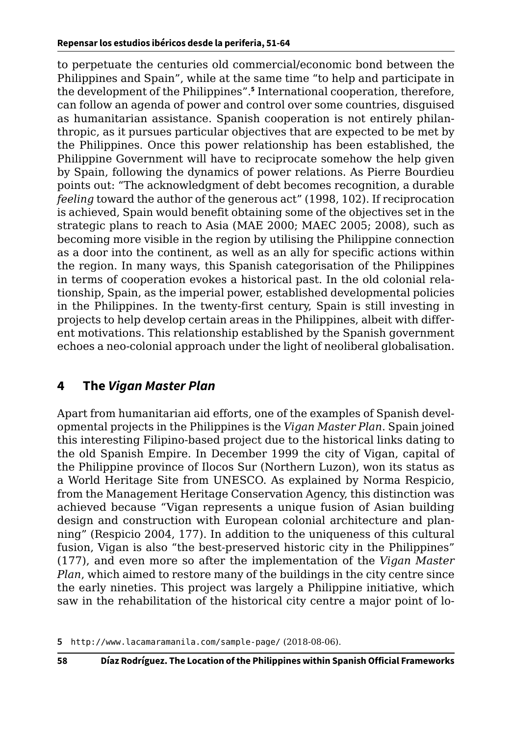<span id="page-7-0"></span>to perpetuate the centuries old commercial/economic bond between the Philippines and Spain", while at the same time "to help and participate in the development of the Philippines".**<sup>5</sup>** International cooperation, therefore, can follow an agenda of power and control over some countries, disguised as humanitarian assistance. Spanish cooperation is not entirely philanthropic, as it pursues particular objectives that are expected to be met by the Philippines. Once this power relationship has been established, the Philippine Government will have to reciprocate somehow the help given by Spain, following the dynamics of power relations. As Pierre Bourdieu points out: "The acknowledgment of debt becomes recognition, a durable *feeling* toward the author of the generous act" (1998, 102). If reciprocation is achieved, Spain would benefit obtaining some of the objectives set in the strategic plans to reach to Asia (MAE 2000; MAEC 2005; 2008), such as becoming more visible in the region by utilising the Philippine connection as a door into the continent, as well as an ally for specific actions within the region. In many ways, this Spanish categorisation of the Philippines in terms of cooperation evokes a historical past. In the old colonial relationship, Spain, as the imperial power, established developmental policies in the Philippines. In the twenty-first century, Spain is still investing in projects to help develop certain areas in the Philippines, albeit with different motivations. This relationship established by the Spanish government echoes a neo-colonial approach under the light of neoliberal globalisation.

# **4 The** *Vigan Master Plan*

Apart from humanitarian aid efforts, one of the examples of Spanish developmental projects in the Philippines is the *Vigan Master Plan*. Spain joined this interesting Filipino-based project due to the historical links dating to the old Spanish Empire. In December 1999 the city of Vigan, capital of the Philippine province of Ilocos Sur (Northern Luzon), won its status as a World Heritage Site from UNESCO. As explained by Norma Respicio, from the Management Heritage Conservation Agency, this distinction was achieved because "Vigan represents a unique fusion of Asian building design and construction with European colonial architecture and planning" (Respicio 2004, 177). In addition to the uniqueness of this cultural fusion, Vigan is also "the best-preserved historic city in the Philippines" (177), and even more so after the implementation of the *Vigan Master Plan*, which aimed to restore many of the buildings in the city centre since the early nineties. This project was largely a Philippine initiative, which saw in the rehabilitation of the historical city centre a major point of lo-

**<sup>5</sup>** <http://www.lacamaramanila.com/sample-page/> (2018-08-06).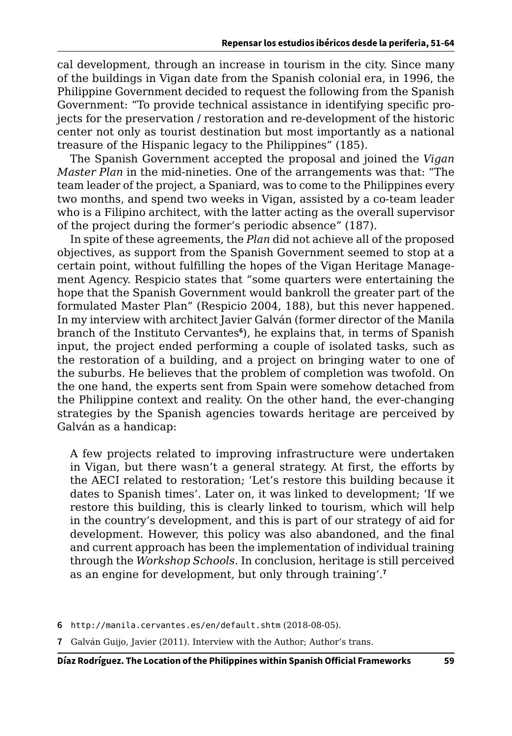cal development, through an increase in tourism in the city. Since many of the buildings in Vigan date from the Spanish colonial era, in 1996, the Philippine Government decided to request the following from the Spanish Government: "To provide technical assistance in identifying specific projects for the preservation / restoration and re-development of the historic center not only as tourist destination but most importantly as a national treasure of the Hispanic legacy to the Philippines" (185).

The Spanish Government accepted the proposal and joined the *Vigan Master Plan* in the mid-nineties. One of the arrangements was that: "The team leader of the project, a Spaniard, was to come to the Philippines every two months, and spend two weeks in Vigan, assisted by a co-team leader who is a Filipino architect, with the latter acting as the overall supervisor of the project during the former's periodic absence" (187).

In spite of these agreements, the *Plan* did not achieve all of the proposed objectives, as support from the Spanish Government seemed to stop at a certain point, without fulfilling the hopes of the Vigan Heritage Management Agency. Respicio states that "some quarters were entertaining the hope that the Spanish Government would bankroll the greater part of the formulated Master Plan" (Respicio 2004, 188), but this never happened. In my interview with architect Javier Galván (former director of the Manila branch of the Instituto Cervantes**<sup>6</sup>** ), he explains that, in terms of Spanish input, the project ended performing a couple of isolated tasks, such as the restoration of a building, and a project on bringing water to one of the suburbs. He believes that the problem of completion was twofold. On the one hand, the experts sent from Spain were somehow detached from the Philippine context and reality. On the other hand, the ever-changing strategies by the Spanish agencies towards heritage are perceived by Galván as a handicap:

A few projects related to improving infrastructure were undertaken in Vigan, but there wasn't a general strategy. At first, the efforts by the AECI related to restoration; 'Let's restore this building because it dates to Spanish times'. Later on, it was linked to development; 'If we restore this building, this is clearly linked to tourism, which will help in the country's development, and this is part of our strategy of aid for development. However, this policy was also abandoned, and the final and current approach has been the implementation of individual training through the *Workshop Schools*. In conclusion, heritage is still perceived as an engine for development, but only through training'.**<sup>7</sup>**

- **6** <http://manila.cervantes.es/en/default.shtm> (2018-08-05).
- **7** Galván Guijo, Javier (2011). Interview with the Author; Author's trans.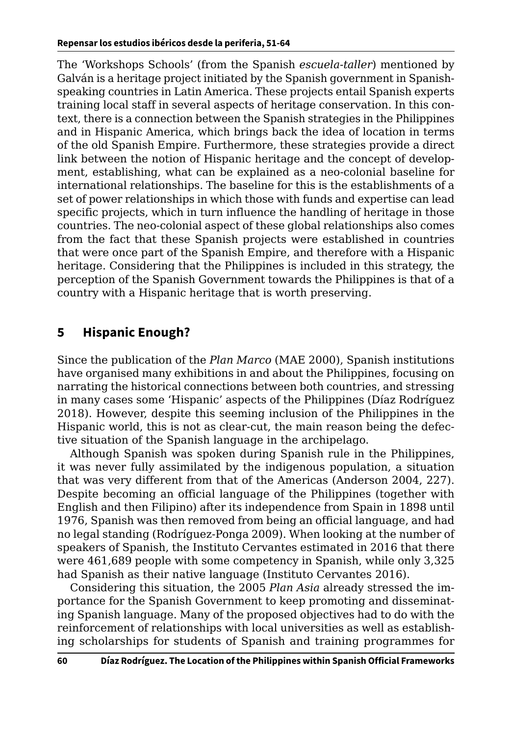<span id="page-9-0"></span>The 'Workshops Schools' (from the Spanish *escuela-taller*) mentioned by Galván is a heritage project initiated by the Spanish government in Spanishspeaking countries in Latin America. These projects entail Spanish experts training local staff in several aspects of heritage conservation. In this context, there is a connection between the Spanish strategies in the Philippines and in Hispanic America, which brings back the idea of location in terms of the old Spanish Empire. Furthermore, these strategies provide a direct link between the notion of Hispanic heritage and the concept of development, establishing, what can be explained as a neo-colonial baseline for international relationships. The baseline for this is the establishments of a set of power relationships in which those with funds and expertise can lead specific projects, which in turn influence the handling of heritage in those countries. The neo-colonial aspect of these global relationships also comes from the fact that these Spanish projects were established in countries that were once part of the Spanish Empire, and therefore with a Hispanic heritage. Considering that the Philippines is included in this strategy, the perception of the Spanish Government towards the Philippines is that of a country with a Hispanic heritage that is worth preserving.

# **5 Hispanic Enough?**

Since the publication of the *Plan Marco* (MAE 2000), Spanish institutions have organised many exhibitions in and about the Philippines, focusing on narrating the historical connections between both countries, and stressing in many cases some 'Hispanic' aspects of the Philippines (Díaz Rodríguez 2018). However, despite this seeming inclusion of the Philippines in the Hispanic world, this is not as clear-cut, the main reason being the defective situation of the Spanish language in the archipelago.

Although Spanish was spoken during Spanish rule in the Philippines, it was never fully assimilated by the indigenous population, a situation that was very different from that of the Americas (Anderson 2004, 227). Despite becoming an official language of the Philippines (together with English and then Filipino) after its independence from Spain in 1898 until 1976, Spanish was then removed from being an official language, and had no legal standing (Rodríguez-Ponga 2009). When looking at the number of speakers of Spanish, the Instituto Cervantes estimated in 2016 that there were 461,689 people with some competency in Spanish, while only 3,325 had Spanish as their native language (Instituto Cervantes 2016).

Considering this situation, the 2005 *Plan Asia* already stressed the importance for the Spanish Government to keep promoting and disseminating Spanish language. Many of the proposed objectives had to do with the reinforcement of relationships with local universities as well as establishing scholarships for students of Spanish and training programmes for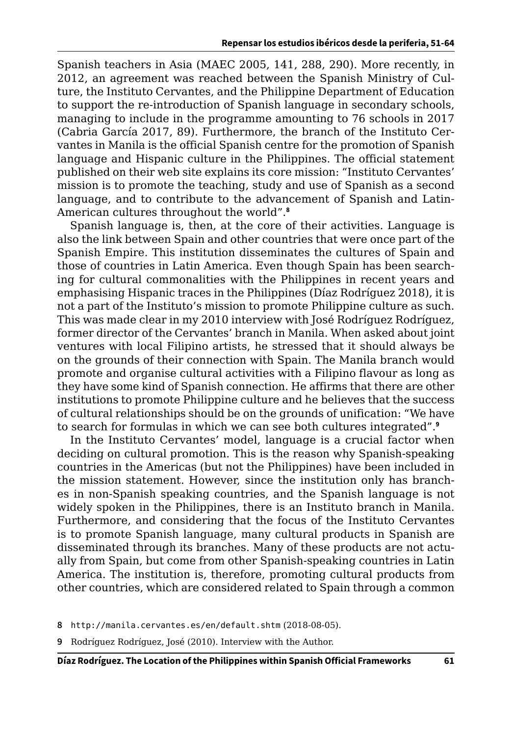Spanish teachers in Asia (MAEC 2005, 141, 288, 290). More recently, in 2012, an agreement was reached between the Spanish Ministry of Culture, the Instituto Cervantes, and the Philippine Department of Education to support the re-introduction of Spanish language in secondary schools, managing to include in the programme amounting to 76 schools in 2017 (Cabria García 2017, 89). Furthermore, the branch of the Instituto Cervantes in Manila is the official Spanish centre for the promotion of Spanish language and Hispanic culture in the Philippines. The official statement published on their web site explains its core mission: "Instituto Cervantes' mission is to promote the teaching, study and use of Spanish as a second language, and to contribute to the advancement of Spanish and Latin-American cultures throughout the world".**<sup>8</sup>**

Spanish language is, then, at the core of their activities. Language is also the link between Spain and other countries that were once part of the Spanish Empire. This institution disseminates the cultures of Spain and those of countries in Latin America. Even though Spain has been searching for cultural commonalities with the Philippines in recent years and emphasising Hispanic traces in the Philippines (Díaz Rodríguez 2018), it is not a part of the Instituto's mission to promote Philippine culture as such. This was made clear in my 2010 interview with José Rodríguez Rodríguez, former director of the Cervantes' branch in Manila. When asked about joint ventures with local Filipino artists, he stressed that it should always be on the grounds of their connection with Spain. The Manila branch would promote and organise cultural activities with a Filipino flavour as long as they have some kind of Spanish connection. He affirms that there are other institutions to promote Philippine culture and he believes that the success of cultural relationships should be on the grounds of unification: "We have to search for formulas in which we can see both cultures integrated".**<sup>9</sup>**

In the Instituto Cervantes' model, language is a crucial factor when deciding on cultural promotion. This is the reason why Spanish-speaking countries in the Americas (but not the Philippines) have been included in the mission statement. However, since the institution only has branches in non-Spanish speaking countries, and the Spanish language is not widely spoken in the Philippines, there is an Instituto branch in Manila. Furthermore, and considering that the focus of the Instituto Cervantes is to promote Spanish language, many cultural products in Spanish are disseminated through its branches. Many of these products are not actually from Spain, but come from other Spanish-speaking countries in Latin America. The institution is, therefore, promoting cultural products from other countries, which are considered related to Spain through a common

**9** Rodríguez Rodríguez, José (2010). Interview with the Author.

**<sup>8</sup>** <http://manila.cervantes.es/en/default.shtm> (2018-08-05).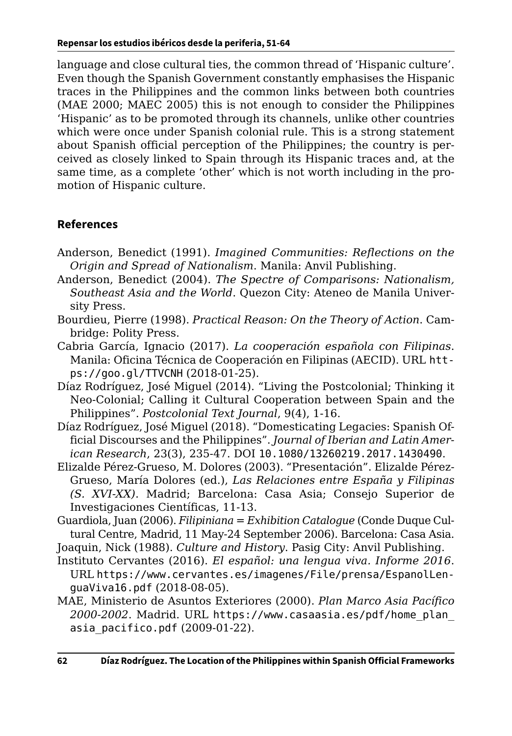language and close cultural ties, the common thread of 'Hispanic culture'. Even though the Spanish Government constantly emphasises the Hispanic traces in the Philippines and the common links between both countries (MAE 2000; MAEC 2005) this is not enough to consider the Philippines 'Hispanic' as to be promoted through its channels, unlike other countries which were once under Spanish colonial rule. This is a strong statement about Spanish official perception of the Philippines; the country is perceived as closely linked to Spain through its Hispanic traces and, at the same time, as a complete 'other' which is not worth including in the promotion of Hispanic culture.

#### **References**

- Anderson, Benedict (1991). *Imagined Communities: Reflections on the Origin and Spread of Nationalism*. Manila: Anvil Publishing.
- Anderson, Benedict (2004). *The Spectre of Comparisons: Nationalism, Southeast Asia and the World*. Quezon City: Ateneo de Manila University Press.
- Bourdieu, Pierre (1998). *Practical Reason: On the Theory of Action*. Cambridge: Polity Press.
- Cabria García, Ignacio (2017). *La cooperación española con Filipinas*. Manila: Oficina Técnica de Cooperación en Filipinas (AECID). URL [htt](https://goo.gl/TTVCNH)[ps://goo.gl/TTVCNH](https://goo.gl/TTVCNH) (2018-01-25).
- Díaz Rodríguez, José Miguel (2014). "Living the Postcolonial; Thinking it Neo-Colonial; Calling it Cultural Cooperation between Spain and the Philippines". *Postcolonial Text Journal*, 9(4), 1-16.
- Díaz Rodríguez, José Miguel (2018). "Domesticating Legacies: Spanish Official Discourses and the Philippines". *Journal of Iberian and Latin American Research*, 23(3), 235-47. DOI [10.1080/13260219.2017.1430490](https://doi.org/10.1080/13260219.2017.1430490).
- Elizalde Pérez-Grueso, M. Dolores (2003). "Presentación". Elizalde Pérez-Grueso, María Dolores (ed.), *Las Relaciones entre España y Filipinas (S. XVI-XX)*. Madrid; Barcelona: Casa Asia; Consejo Superior de Investigaciones Científicas, 11-13.
- Guardiola, Juan (2006). *Filipiniana = Exhibition Catalogue* (Conde Duque Cultural Centre, Madrid, 11 May-24 September 2006). Barcelona: Casa Asia.

Joaquin, Nick (1988). *Culture and History*. Pasig City: Anvil Publishing.

- Instituto Cervantes (2016). *El español: una lengua viva. Informe 2016*. URL [https://www.cervantes.es/imagenes/File/prensa/EspanolLen](https://www.cervantes.es/imagenes/File/prensa/EspanolLenguaViva16.pdf)[guaViva16.pdf](https://www.cervantes.es/imagenes/File/prensa/EspanolLenguaViva16.pdf) (2018-08-05).
- MAE, Ministerio de Asuntos Exteriores (2000). *Plan Marco Asia Pacífico 2000-2002*. Madrid. URL [https://www.casaasia.es/pdf/home\\_plan\\_](https://www.casaasia.es/pdf/home_plan_asia_pacifico.pdf) [asia\\_pacifico.pdf](https://www.casaasia.es/pdf/home_plan_asia_pacifico.pdf) (2009-01-22).